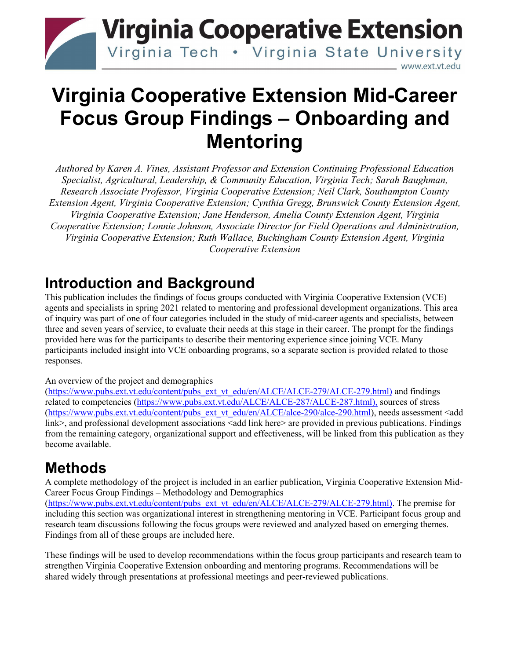

# **Virginia Cooperative Extension Mid-Career Focus Group Findings – Onboarding and Mentoring**

*Authored by Karen A. Vines, Assistant Professor and Extension Continuing Professional Education Specialist, Agricultural, Leadership, & Community Education, Virginia Tech; Sarah Baughman, Research Associate Professor, Virginia Cooperative Extension; Neil Clark, Southampton County Extension Agent, Virginia Cooperative Extension; Cynthia Gregg, Brunswick County Extension Agent, Virginia Cooperative Extension; Jane Henderson, Amelia County Extension Agent, Virginia Cooperative Extension; Lonnie Johnson, Associate Director for Field Operations and Administration, Virginia Cooperative Extension; Ruth Wallace, Buckingham County Extension Agent, Virginia Cooperative Extension*

## **Introduction and Background**

This publication includes the findings of focus groups conducted with Virginia Cooperative Extension (VCE) agents and specialists in spring 2021 related to mentoring and professional development organizations. This area of inquiry was part of one of four categories included in the study of mid-career agents and specialists, between three and seven years of service, to evaluate their needs at this stage in their career. The prompt for the findings provided here was for the participants to describe their mentoring experience since joining VCE. Many participants included insight into VCE onboarding programs, so a separate section is provided related to those responses.

#### An overview of the project and demographics

[\(https://www.pubs.ext.vt.edu/content/pubs\\_ext\\_vt\\_edu/en/ALCE/ALCE-279/ALCE-279.html\)](https://www.pubs.ext.vt.edu/content/pubs_ext_vt_edu/en/ALCE/ALCE-279/ALCE-279.html) and findings related to competencies [\(https://www.pubs.ext.vt.edu/ALCE/ALCE-287/ALCE-287.html\)](https://www.pubs.ext.vt.edu/ALCE/ALCE-287/ALCE-287.html), sources of stress [\(https://www.pubs.ext.vt.edu/content/pubs\\_ext\\_vt\\_edu/en/ALCE/alce-290/alce-290.html\)](https://www.pubs.ext.vt.edu/content/pubs_ext_vt_edu/en/ALCE/alce-290/alce-290.html), needs assessment <add link>, and professional development associations <add link here> are provided in previous publications. Findings from the remaining category, organizational support and effectiveness, will be linked from this publication as they become available.

## **Methods**

A complete methodology of the project is included in an earlier publication, Virginia Cooperative Extension Mid-Career Focus Group Findings – Methodology and Demographics

[\(https://www.pubs.ext.vt.edu/content/pubs\\_ext\\_vt\\_edu/en/ALCE/ALCE-279/ALCE-279.html\)](https://www.pubs.ext.vt.edu/content/pubs_ext_vt_edu/en/ALCE/ALCE-279/ALCE-279.html). The premise for including this section was organizational interest in strengthening mentoring in VCE. Participant focus group and research team discussions following the focus groups were reviewed and analyzed based on emerging themes. Findings from all of these groups are included here.

These findings will be used to develop recommendations within the focus group participants and research team to strengthen Virginia Cooperative Extension onboarding and mentoring programs. Recommendations will be shared widely through presentations at professional meetings and peer-reviewed publications.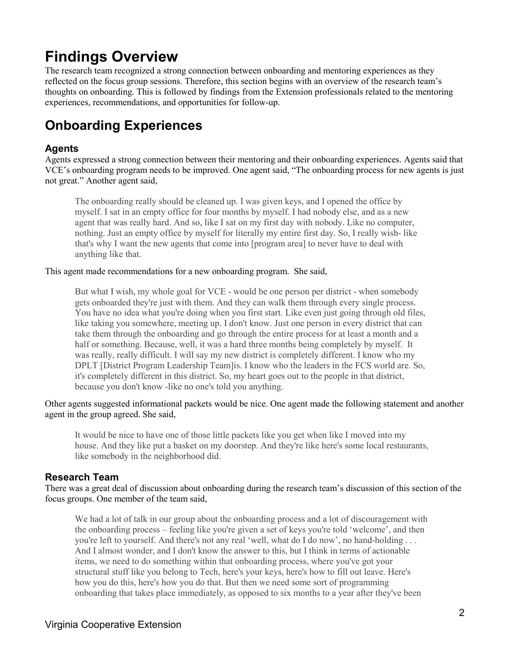## **Findings Overview**

The research team recognized a strong connection between onboarding and mentoring experiences as they reflected on the focus group sessions. Therefore, this section begins with an overview of the research team's thoughts on onboarding. This is followed by findings from the Extension professionals related to the mentoring experiences, recommendations, and opportunities for follow-up.

## **Onboarding Experiences**

#### **Agents**

Agents expressed a strong connection between their mentoring and their onboarding experiences. Agents said that VCE's onboarding program needs to be improved. One agent said, "The onboarding process for new agents is just not great." Another agent said,

The onboarding really should be cleaned up. I was given keys, and I opened the office by myself. I sat in an empty office for four months by myself. I had nobody else, and as a new agent that was really hard. And so, like I sat on my first day with nobody. Like no computer, nothing. Just an empty office by myself for literally my entire first day. So, I really wish- like that's why I want the new agents that come into [program area] to never have to deal with anything like that.

This agent made recommendations for a new onboarding program. She said,

But what I wish, my whole goal for VCE - would be one person per district - when somebody gets onboarded they're just with them. And they can walk them through every single process. You have no idea what you're doing when you first start. Like even just going through old files, like taking you somewhere, meeting up. I don't know. Just one person in every district that can take them through the onboarding and go through the entire process for at least a month and a half or something. Because, well, it was a hard three months being completely by myself. It was really, really difficult. I will say my new district is completely different. I know who my DPLT [District Program Leadership Team]is. I know who the leaders in the FCS world are. So, it's completely different in this district. So, my heart goes out to the people in that district, because you don't know -like no one's told you anything.

Other agents suggested informational packets would be nice. One agent made the following statement and another agent in the group agreed. She said,

It would be nice to have one of those little packets like you get when like I moved into my house. And they like put a basket on my doorstep. And they're like here's some local restaurants, like somebody in the neighborhood did.

#### **Research Team**

There was a great deal of discussion about onboarding during the research team's discussion of this section of the focus groups. One member of the team said,

We had a lot of talk in our group about the onboarding process and a lot of discouragement with the onboarding process – feeling like you're given a set of keys you're told 'welcome', and then you're left to yourself. And there's not any real 'well, what do I do now', no hand-holding . . . And I almost wonder, and I don't know the answer to this, but I think in terms of actionable items, we need to do something within that onboarding process, where you've got your structural stuff like you belong to Tech, here's your keys, here's how to fill out leave. Here's how you do this, here's how you do that. But then we need some sort of programming onboarding that takes place immediately, as opposed to six months to a year after they've been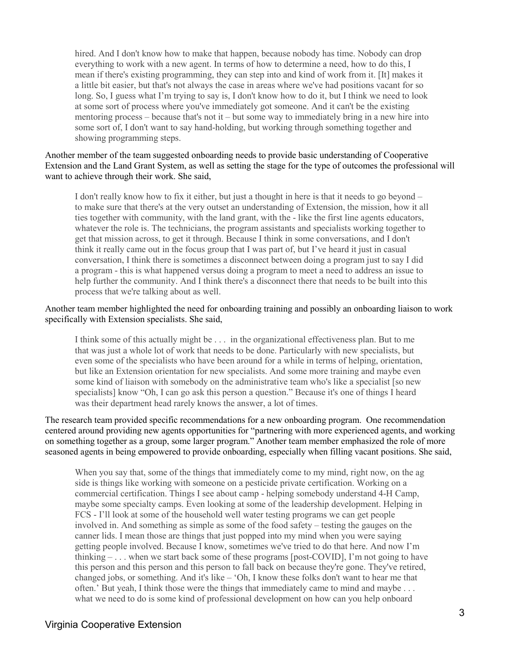hired. And I don't know how to make that happen, because nobody has time. Nobody can drop everything to work with a new agent. In terms of how to determine a need, how to do this, I mean if there's existing programming, they can step into and kind of work from it. [It] makes it a little bit easier, but that's not always the case in areas where we've had positions vacant for so long. So, I guess what I'm trying to say is, I don't know how to do it, but I think we need to look at some sort of process where you've immediately got someone. And it can't be the existing mentoring process – because that's not it – but some way to immediately bring in a new hire into some sort of, I don't want to say hand-holding, but working through something together and showing programming steps.

Another member of the team suggested onboarding needs to provide basic understanding of Cooperative Extension and the Land Grant System, as well as setting the stage for the type of outcomes the professional will want to achieve through their work. She said,

I don't really know how to fix it either, but just a thought in here is that it needs to go beyond – to make sure that there's at the very outset an understanding of Extension, the mission, how it all ties together with community, with the land grant, with the - like the first line agents educators, whatever the role is. The technicians, the program assistants and specialists working together to get that mission across, to get it through. Because I think in some conversations, and I don't think it really came out in the focus group that I was part of, but I've heard it just in casual conversation, I think there is sometimes a disconnect between doing a program just to say I did a program - this is what happened versus doing a program to meet a need to address an issue to help further the community. And I think there's a disconnect there that needs to be built into this process that we're talking about as well.

#### Another team member highlighted the need for onboarding training and possibly an onboarding liaison to work specifically with Extension specialists. She said,

I think some of this actually might be . . . in the organizational effectiveness plan. But to me that was just a whole lot of work that needs to be done. Particularly with new specialists, but even some of the specialists who have been around for a while in terms of helping, orientation, but like an Extension orientation for new specialists. And some more training and maybe even some kind of liaison with somebody on the administrative team who's like a specialist [so new specialists] know "Oh, I can go ask this person a question." Because it's one of things I heard was their department head rarely knows the answer, a lot of times.

The research team provided specific recommendations for a new onboarding program. One recommendation centered around providing new agents opportunities for "partnering with more experienced agents, and working on something together as a group, some larger program." Another team member emphasized the role of more seasoned agents in being empowered to provide onboarding, especially when filling vacant positions. She said,

When you say that, some of the things that immediately come to my mind, right now, on the ag side is things like working with someone on a pesticide private certification. Working on a commercial certification. Things I see about camp - helping somebody understand 4-H Camp, maybe some specialty camps. Even looking at some of the leadership development. Helping in FCS - I'll look at some of the household well water testing programs we can get people involved in. And something as simple as some of the food safety – testing the gauges on the canner lids. I mean those are things that just popped into my mind when you were saying getting people involved. Because I know, sometimes we've tried to do that here. And now I'm thinking – . . . when we start back some of these programs [post-COVID], I'm not going to have this person and this person and this person to fall back on because they're gone. They've retired, changed jobs, or something. And it's like – 'Oh, I know these folks don't want to hear me that often.' But yeah, I think those were the things that immediately came to mind and maybe . . . what we need to do is some kind of professional development on how can you help onboard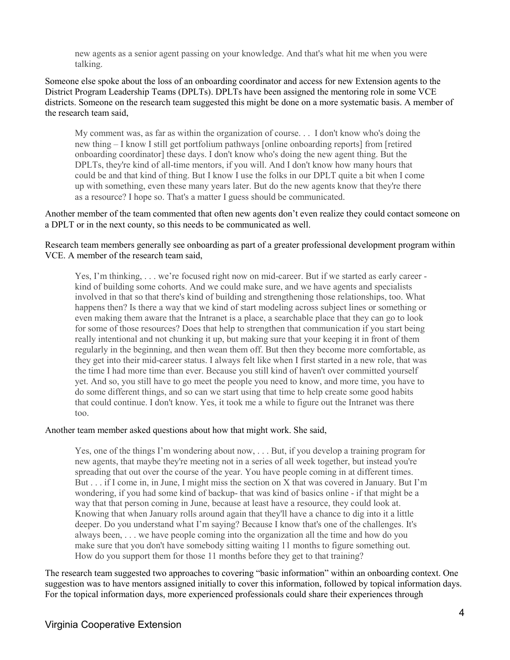new agents as a senior agent passing on your knowledge. And that's what hit me when you were talking.

Someone else spoke about the loss of an onboarding coordinator and access for new Extension agents to the District Program Leadership Teams (DPLTs). DPLTs have been assigned the mentoring role in some VCE districts. Someone on the research team suggested this might be done on a more systematic basis. A member of the research team said,

My comment was, as far as within the organization of course. . . I don't know who's doing the new thing – I know I still get portfolium pathways [online onboarding reports] from [retired onboarding coordinator] these days. I don't know who's doing the new agent thing. But the DPLTs, they're kind of all-time mentors, if you will. And I don't know how many hours that could be and that kind of thing. But I know I use the folks in our DPLT quite a bit when I come up with something, even these many years later. But do the new agents know that they're there as a resource? I hope so. That's a matter I guess should be communicated.

Another member of the team commented that often new agents don't even realize they could contact someone on a DPLT or in the next county, so this needs to be communicated as well.

Research team members generally see onboarding as part of a greater professional development program within VCE. A member of the research team said,

Yes, I'm thinking, ... we're focused right now on mid-career. But if we started as early career kind of building some cohorts. And we could make sure, and we have agents and specialists involved in that so that there's kind of building and strengthening those relationships, too. What happens then? Is there a way that we kind of start modeling across subject lines or something or even making them aware that the Intranet is a place, a searchable place that they can go to look for some of those resources? Does that help to strengthen that communication if you start being really intentional and not chunking it up, but making sure that your keeping it in front of them regularly in the beginning, and then wean them off. But then they become more comfortable, as they get into their mid-career status. I always felt like when I first started in a new role, that was the time I had more time than ever. Because you still kind of haven't over committed yourself yet. And so, you still have to go meet the people you need to know, and more time, you have to do some different things, and so can we start using that time to help create some good habits that could continue. I don't know. Yes, it took me a while to figure out the Intranet was there too.

#### Another team member asked questions about how that might work. She said,

Yes, one of the things I'm wondering about now, . . . But, if you develop a training program for new agents, that maybe they're meeting not in a series of all week together, but instead you're spreading that out over the course of the year. You have people coming in at different times. But . . . if I come in, in June, I might miss the section on X that was covered in January. But I'm wondering, if you had some kind of backup- that was kind of basics online - if that might be a way that that person coming in June, because at least have a resource, they could look at. Knowing that when January rolls around again that they'll have a chance to dig into it a little deeper. Do you understand what I'm saying? Because I know that's one of the challenges. It's always been, . . . we have people coming into the organization all the time and how do you make sure that you don't have somebody sitting waiting 11 months to figure something out. How do you support them for those 11 months before they get to that training?

The research team suggested two approaches to covering "basic information" within an onboarding context. One suggestion was to have mentors assigned initially to cover this information, followed by topical information days. For the topical information days, more experienced professionals could share their experiences through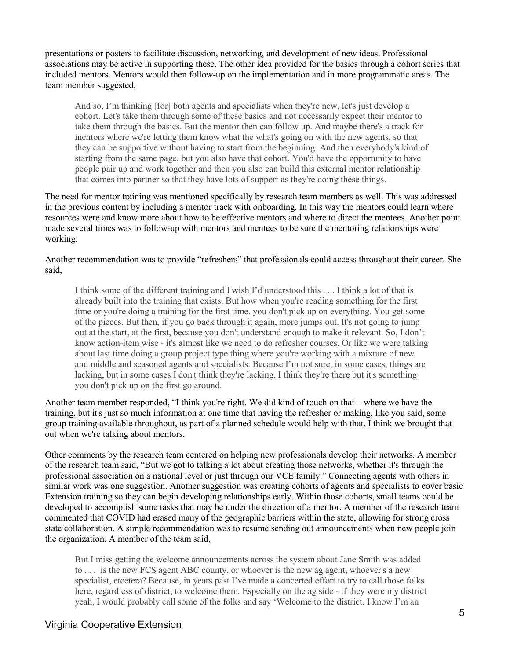presentations or posters to facilitate discussion, networking, and development of new ideas. Professional associations may be active in supporting these. The other idea provided for the basics through a cohort series that included mentors. Mentors would then follow-up on the implementation and in more programmatic areas. The team member suggested,

And so, I'm thinking [for] both agents and specialists when they're new, let's just develop a cohort. Let's take them through some of these basics and not necessarily expect their mentor to take them through the basics. But the mentor then can follow up. And maybe there's a track for mentors where we're letting them know what the what's going on with the new agents, so that they can be supportive without having to start from the beginning. And then everybody's kind of starting from the same page, but you also have that cohort. You'd have the opportunity to have people pair up and work together and then you also can build this external mentor relationship that comes into partner so that they have lots of support as they're doing these things.

The need for mentor training was mentioned specifically by research team members as well. This was addressed in the previous content by including a mentor track with onboarding. In this way the mentors could learn where resources were and know more about how to be effective mentors and where to direct the mentees. Another point made several times was to follow-up with mentors and mentees to be sure the mentoring relationships were working.

Another recommendation was to provide "refreshers" that professionals could access throughout their career. She said,

I think some of the different training and I wish I'd understood this . . . I think a lot of that is already built into the training that exists. But how when you're reading something for the first time or you're doing a training for the first time, you don't pick up on everything. You get some of the pieces. But then, if you go back through it again, more jumps out. It's not going to jump out at the start, at the first, because you don't understand enough to make it relevant. So, I don't know action-item wise - it's almost like we need to do refresher courses. Or like we were talking about last time doing a group project type thing where you're working with a mixture of new and middle and seasoned agents and specialists. Because I'm not sure, in some cases, things are lacking, but in some cases I don't think they're lacking. I think they're there but it's something you don't pick up on the first go around.

Another team member responded, "I think you're right. We did kind of touch on that – where we have the training, but it's just so much information at one time that having the refresher or making, like you said, some group training available throughout, as part of a planned schedule would help with that. I think we brought that out when we're talking about mentors.

Other comments by the research team centered on helping new professionals develop their networks. A member of the research team said, "But we got to talking a lot about creating those networks, whether it's through the professional association on a national level or just through our VCE family." Connecting agents with others in similar work was one suggestion. Another suggestion was creating cohorts of agents and specialists to cover basic Extension training so they can begin developing relationships early. Within those cohorts, small teams could be developed to accomplish some tasks that may be under the direction of a mentor. A member of the research team commented that COVID had erased many of the geographic barriers within the state, allowing for strong cross state collaboration. A simple recommendation was to resume sending out announcements when new people join the organization. A member of the team said,

But I miss getting the welcome announcements across the system about Jane Smith was added to . . . is the new FCS agent ABC county, or whoever is the new ag agent, whoever's a new specialist, etcetera? Because, in years past I've made a concerted effort to try to call those folks here, regardless of district, to welcome them. Especially on the ag side - if they were my district yeah, I would probably call some of the folks and say 'Welcome to the district. I know I'm an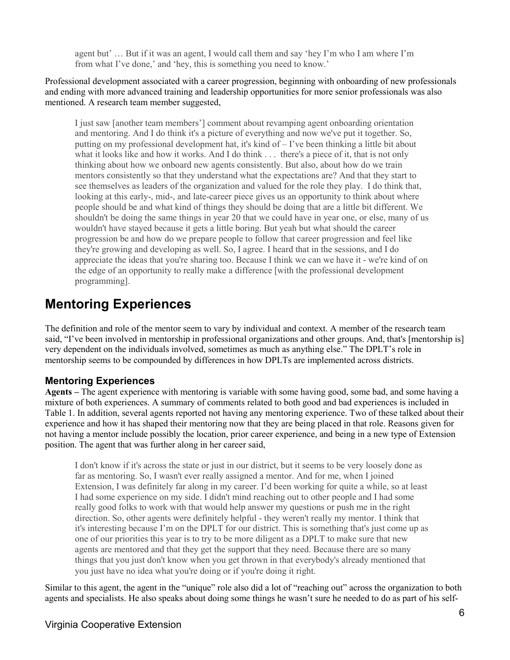agent but' … But if it was an agent, I would call them and say 'hey I'm who I am where I'm from what I've done,' and 'hey, this is something you need to know.'

Professional development associated with a career progression, beginning with onboarding of new professionals and ending with more advanced training and leadership opportunities for more senior professionals was also mentioned. A research team member suggested,

I just saw [another team members'] comment about revamping agent onboarding orientation and mentoring. And I do think it's a picture of everything and now we've put it together. So, putting on my professional development hat, it's kind of – I've been thinking a little bit about what it looks like and how it works. And I do think . . . there's a piece of it, that is not only thinking about how we onboard new agents consistently. But also, about how do we train mentors consistently so that they understand what the expectations are? And that they start to see themselves as leaders of the organization and valued for the role they play. I do think that, looking at this early-, mid-, and late-career piece gives us an opportunity to think about where people should be and what kind of things they should be doing that are a little bit different. We shouldn't be doing the same things in year 20 that we could have in year one, or else, many of us wouldn't have stayed because it gets a little boring. But yeah but what should the career progression be and how do we prepare people to follow that career progression and feel like they're growing and developing as well. So, I agree. I heard that in the sessions, and I do appreciate the ideas that you're sharing too. Because I think we can we have it - we're kind of on the edge of an opportunity to really make a difference [with the professional development programming].

### **Mentoring Experiences**

The definition and role of the mentor seem to vary by individual and context. A member of the research team said, "I've been involved in mentorship in professional organizations and other groups. And, that's [mentorship is] very dependent on the individuals involved, sometimes as much as anything else." The DPLT's role in mentorship seems to be compounded by differences in how DPLTs are implemented across districts.

#### **Mentoring Experiences**

**Agents –** The agent experience with mentoring is variable with some having good, some bad, and some having a mixture of both experiences. A summary of comments related to both good and bad experiences is included in Table 1. In addition, several agents reported not having any mentoring experience. Two of these talked about their experience and how it has shaped their mentoring now that they are being placed in that role. Reasons given for not having a mentor include possibly the location, prior career experience, and being in a new type of Extension position. The agent that was further along in her career said,

I don't know if it's across the state or just in our district, but it seems to be very loosely done as far as mentoring. So, I wasn't ever really assigned a mentor. And for me, when I joined Extension, I was definitely far along in my career. I'd been working for quite a while, so at least I had some experience on my side. I didn't mind reaching out to other people and I had some really good folks to work with that would help answer my questions or push me in the right direction. So, other agents were definitely helpful - they weren't really my mentor. I think that it's interesting because I'm on the DPLT for our district. This is something that's just come up as one of our priorities this year is to try to be more diligent as a DPLT to make sure that new agents are mentored and that they get the support that they need. Because there are so many things that you just don't know when you get thrown in that everybody's already mentioned that you just have no idea what you're doing or if you're doing it right.

Similar to this agent, the agent in the "unique" role also did a lot of "reaching out" across the organization to both agents and specialists. He also speaks about doing some things he wasn't sure he needed to do as part of his self-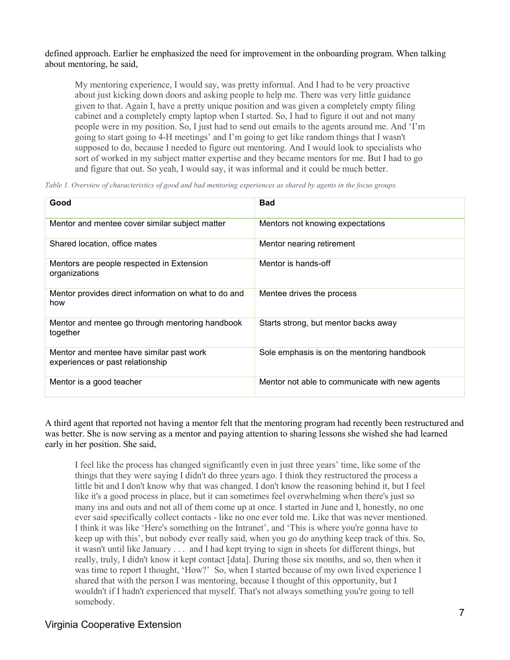#### defined approach. Earlier he emphasized the need for improvement in the onboarding program. When talking about mentoring, he said,

My mentoring experience, I would say, was pretty informal. And I had to be very proactive about just kicking down doors and asking people to help me. There was very little guidance given to that. Again I, have a pretty unique position and was given a completely empty filing cabinet and a completely empty laptop when I started. So, I had to figure it out and not many people were in my position. So, I just had to send out emails to the agents around me. And 'I'm going to start going to 4-H meetings' and I'm going to get like random things that I wasn't supposed to do, because I needed to figure out mentoring. And I would look to specialists who sort of worked in my subject matter expertise and they became mentors for me. But I had to go and figure that out. So yeah, I would say, it was informal and it could be much better.

*Table 1. Overview of characteristics of good and bad mentoring experiences as shared by agents in the focus groups.*

| Good                                                                         | <b>Bad</b>                                     |
|------------------------------------------------------------------------------|------------------------------------------------|
| Mentor and mentee cover similar subject matter                               | Mentors not knowing expectations               |
| Shared location, office mates                                                | Mentor nearing retirement                      |
| Mentors are people respected in Extension<br>organizations                   | Mentor is hands-off                            |
| Mentor provides direct information on what to do and<br>how                  | Mentee drives the process                      |
| Mentor and mentee go through mentoring handbook<br>together                  | Starts strong, but mentor backs away           |
| Mentor and mentee have similar past work<br>experiences or past relationship | Sole emphasis is on the mentoring handbook     |
| Mentor is a good teacher                                                     | Mentor not able to communicate with new agents |

A third agent that reported not having a mentor felt that the mentoring program had recently been restructured and was better. She is now serving as a mentor and paying attention to sharing lessons she wished she had learned early in her position. She said,

I feel like the process has changed significantly even in just three years' time, like some of the things that they were saying I didn't do three years ago. I think they restructured the process a little bit and I don't know why that was changed. I don't know the reasoning behind it, but I feel like it's a good process in place, but it can sometimes feel overwhelming when there's just so many ins and outs and not all of them come up at once. I started in June and I, honestly, no one ever said specifically collect contacts - like no one ever told me. Like that was never mentioned. I think it was like 'Here's something on the Intranet', and 'This is where you're gonna have to keep up with this', but nobody ever really said, when you go do anything keep track of this. So, it wasn't until like January . . . and I had kept trying to sign in sheets for different things, but really, truly, I didn't know it kept contact [data]. During those six months, and so, then when it was time to report I thought, 'How?' So, when I started because of my own lived experience I shared that with the person I was mentoring, because I thought of this opportunity, but I wouldn't if I hadn't experienced that myself. That's not always something you're going to tell somebody.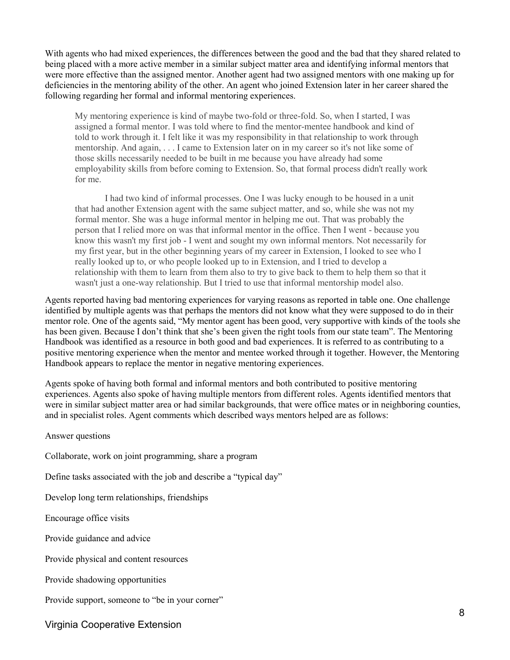With agents who had mixed experiences, the differences between the good and the bad that they shared related to being placed with a more active member in a similar subject matter area and identifying informal mentors that were more effective than the assigned mentor. Another agent had two assigned mentors with one making up for deficiencies in the mentoring ability of the other. An agent who joined Extension later in her career shared the following regarding her formal and informal mentoring experiences.

My mentoring experience is kind of maybe two-fold or three-fold. So, when I started, I was assigned a formal mentor. I was told where to find the mentor-mentee handbook and kind of told to work through it. I felt like it was my responsibility in that relationship to work through mentorship. And again, . . . I came to Extension later on in my career so it's not like some of those skills necessarily needed to be built in me because you have already had some employability skills from before coming to Extension. So, that formal process didn't really work for me.

I had two kind of informal processes. One I was lucky enough to be housed in a unit that had another Extension agent with the same subject matter, and so, while she was not my formal mentor. She was a huge informal mentor in helping me out. That was probably the person that I relied more on was that informal mentor in the office. Then I went - because you know this wasn't my first job - I went and sought my own informal mentors. Not necessarily for my first year, but in the other beginning years of my career in Extension, I looked to see who I really looked up to, or who people looked up to in Extension, and I tried to develop a relationship with them to learn from them also to try to give back to them to help them so that it wasn't just a one-way relationship. But I tried to use that informal mentorship model also.

Agents reported having bad mentoring experiences for varying reasons as reported in table one. One challenge identified by multiple agents was that perhaps the mentors did not know what they were supposed to do in their mentor role. One of the agents said, "My mentor agent has been good, very supportive with kinds of the tools she has been given. Because I don't think that she's been given the right tools from our state team". The Mentoring Handbook was identified as a resource in both good and bad experiences. It is referred to as contributing to a positive mentoring experience when the mentor and mentee worked through it together. However, the Mentoring Handbook appears to replace the mentor in negative mentoring experiences.

Agents spoke of having both formal and informal mentors and both contributed to positive mentoring experiences. Agents also spoke of having multiple mentors from different roles. Agents identified mentors that were in similar subject matter area or had similar backgrounds, that were office mates or in neighboring counties, and in specialist roles. Agent comments which described ways mentors helped are as follows:

Answer questions

Collaborate, work on joint programming, share a program

Define tasks associated with the job and describe a "typical day"

Develop long term relationships, friendships

Encourage office visits

Provide guidance and advice

Provide physical and content resources

Provide shadowing opportunities

Provide support, someone to "be in your corner"

Virginia Cooperative Extension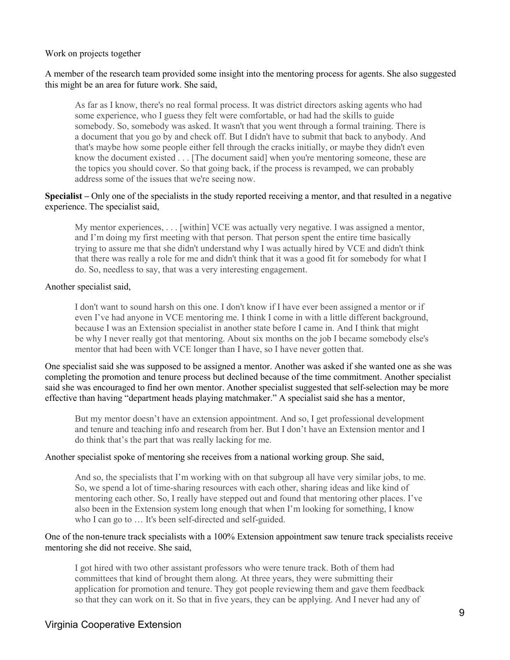#### Work on projects together

#### A member of the research team provided some insight into the mentoring process for agents. She also suggested this might be an area for future work. She said,

As far as I know, there's no real formal process. It was district directors asking agents who had some experience, who I guess they felt were comfortable, or had had the skills to guide somebody. So, somebody was asked. It wasn't that you went through a formal training. There is a document that you go by and check off. But I didn't have to submit that back to anybody. And that's maybe how some people either fell through the cracks initially, or maybe they didn't even know the document existed . . . [The document said] when you're mentoring someone, these are the topics you should cover. So that going back, if the process is revamped, we can probably address some of the issues that we're seeing now.

#### **Specialist –** Only one of the specialists in the study reported receiving a mentor, and that resulted in a negative experience. The specialist said,

My mentor experiences, . . . [within] VCE was actually very negative. I was assigned a mentor, and I'm doing my first meeting with that person. That person spent the entire time basically trying to assure me that she didn't understand why I was actually hired by VCE and didn't think that there was really a role for me and didn't think that it was a good fit for somebody for what I do. So, needless to say, that was a very interesting engagement.

#### Another specialist said,

I don't want to sound harsh on this one. I don't know if I have ever been assigned a mentor or if even I've had anyone in VCE mentoring me. I think I come in with a little different background, because I was an Extension specialist in another state before I came in. And I think that might be why I never really got that mentoring. About six months on the job I became somebody else's mentor that had been with VCE longer than I have, so I have never gotten that.

One specialist said she was supposed to be assigned a mentor. Another was asked if she wanted one as she was completing the promotion and tenure process but declined because of the time commitment. Another specialist said she was encouraged to find her own mentor. Another specialist suggested that self-selection may be more effective than having "department heads playing matchmaker." A specialist said she has a mentor,

But my mentor doesn't have an extension appointment. And so, I get professional development and tenure and teaching info and research from her. But I don't have an Extension mentor and I do think that's the part that was really lacking for me.

#### Another specialist spoke of mentoring she receives from a national working group. She said,

And so, the specialists that I'm working with on that subgroup all have very similar jobs, to me. So, we spend a lot of time-sharing resources with each other, sharing ideas and like kind of mentoring each other. So, I really have stepped out and found that mentoring other places. I've also been in the Extension system long enough that when I'm looking for something, I know who I can go to … It's been self-directed and self-guided.

#### One of the non-tenure track specialists with a 100% Extension appointment saw tenure track specialists receive mentoring she did not receive. She said,

I got hired with two other assistant professors who were tenure track. Both of them had committees that kind of brought them along. At three years, they were submitting their application for promotion and tenure. They got people reviewing them and gave them feedback so that they can work on it. So that in five years, they can be applying. And I never had any of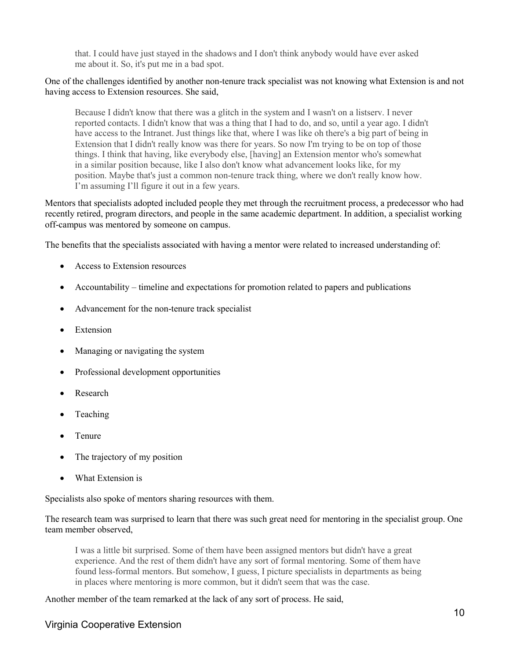that. I could have just stayed in the shadows and I don't think anybody would have ever asked me about it. So, it's put me in a bad spot.

#### One of the challenges identified by another non-tenure track specialist was not knowing what Extension is and not having access to Extension resources. She said,

Because I didn't know that there was a glitch in the system and I wasn't on a listserv. I never reported contacts. I didn't know that was a thing that I had to do, and so, until a year ago. I didn't have access to the Intranet. Just things like that, where I was like oh there's a big part of being in Extension that I didn't really know was there for years. So now I'm trying to be on top of those things. I think that having, like everybody else, [having] an Extension mentor who's somewhat in a similar position because, like I also don't know what advancement looks like, for my position. Maybe that's just a common non-tenure track thing, where we don't really know how. I'm assuming I'll figure it out in a few years.

Mentors that specialists adopted included people they met through the recruitment process, a predecessor who had recently retired, program directors, and people in the same academic department. In addition, a specialist working off-campus was mentored by someone on campus.

The benefits that the specialists associated with having a mentor were related to increased understanding of:

- Access to Extension resources
- Accountability timeline and expectations for promotion related to papers and publications
- Advancement for the non-tenure track specialist
- **Extension**
- Managing or navigating the system
- Professional development opportunities
- **Research**
- Teaching
- Tenure
- The trajectory of my position
- What Extension is

Specialists also spoke of mentors sharing resources with them.

The research team was surprised to learn that there was such great need for mentoring in the specialist group. One team member observed,

I was a little bit surprised. Some of them have been assigned mentors but didn't have a great experience. And the rest of them didn't have any sort of formal mentoring. Some of them have found less-formal mentors. But somehow, I guess, I picture specialists in departments as being in places where mentoring is more common, but it didn't seem that was the case.

Another member of the team remarked at the lack of any sort of process. He said,

#### Virginia Cooperative Extension